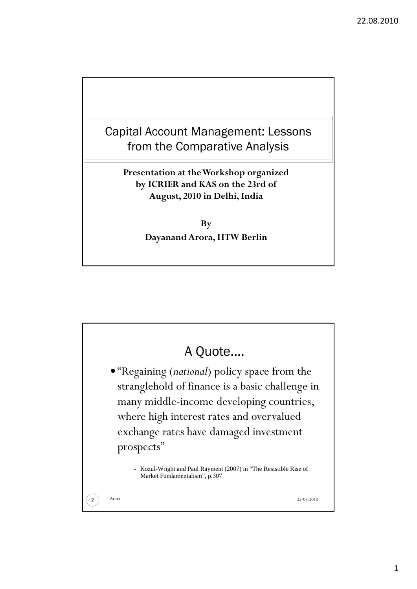



1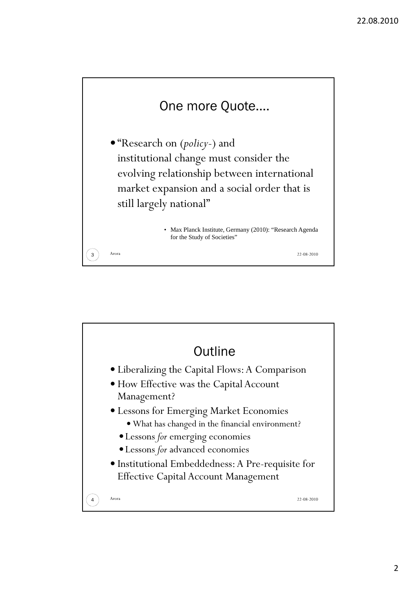

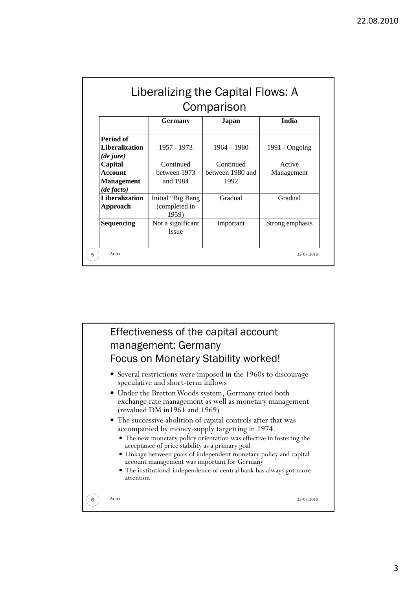| Comparison                                                                |                                             |                                       |                      |
|---------------------------------------------------------------------------|---------------------------------------------|---------------------------------------|----------------------|
|                                                                           | <b>Germany</b>                              | Japan                                 | India                |
| Period of<br><b>Liberalization</b>                                        | 1957 - 1973                                 | $1964 - 1980$                         | 1991 - Ongoing       |
| (de jure)<br>Capital<br><b>Account</b><br><b>Management</b><br>(de facto) | Continued<br>between 1973<br>and 1984       | Continued<br>between 1980 and<br>1992 | Active<br>Management |
| <b>Liberalization</b><br>Approach                                         | Initial "Big Bang<br>(completed in<br>1959) | Gradual                               | Gradual              |
| Sequencing                                                                | Not a significant<br><b>Issue</b>           | Important                             | Strong emphasis      |

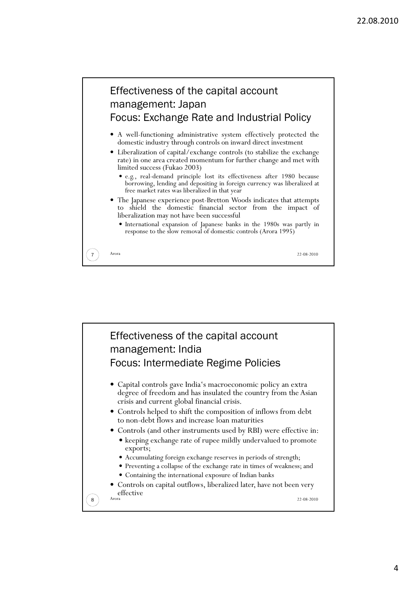

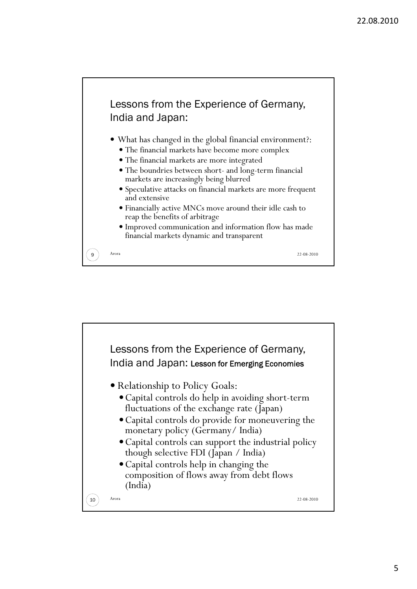

- What has changed in the global financial environment?:
	- The financial markets have become more complex
	- The financial markets are more integrated
	- The boundries between short- and long-term financial markets are increasingly being blurred
	- Speculative attacks on financial markets are more frequent and extensive
	- Financially active MNCs move around their idle cash to reap the benefits of arbitrage
	- Improved communication and information flow has made financial markets dynamic and transparent

**9**  $\big)$  Arora 22-08-2010

Lessons from the Experience of Germany, India and Japan: Lesson for Emerging Economies • Relationship to Policy Goals: Capital controls do help in avoiding short-term fluctuations of the exchange rate (Japan) Capital controls do provide for moneuvering the monetary policy (Germany/ India) Capital controls can support the industrial policy though selective FDI (Japan / India) Capital controls help in changing the composition of flows away from debt flows (India) **10**  $\big)$  Arora 22-08-2010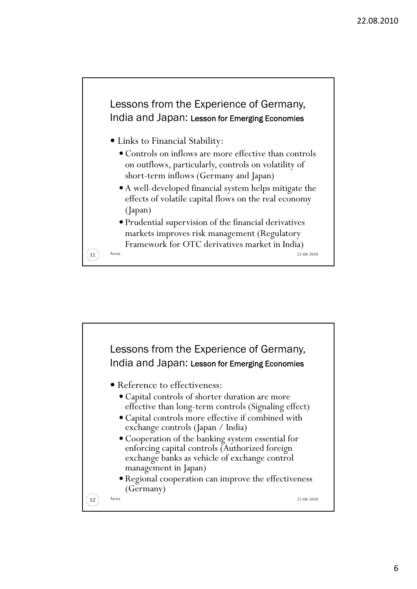

- Links to Financial Stability:
	- Controls on inflows are more effective than controls on outflows, particularly, controls on volatility of short-term inflows (Germany and Japan)
	- A well-developed financial system helps mitigate the effects of volatile capital flows on the real economy (Japan)
	- Prudential supervision of the financial derivatives markets improves risk management (Regulatory Framework for OTC derivatives market in India)

**11** Arora 22-08-2010

Lessons from the Experience of Germany, India and Japan: Lesson for Emerging Economies Reference to effectiveness: Capital controls of shorter duration are more effective than long-term controls (Signaling effect) Capital controls more effective if combined with exchange controls (Japan / India) Cooperation of the banking system essential for enforcing capital controls (Authorized foreign exchange banks as vehicle of exchange control management in Japan) • Regional cooperation can improve the effectiveness (Germany) **12**  $\big)$  Arora 22-08-2010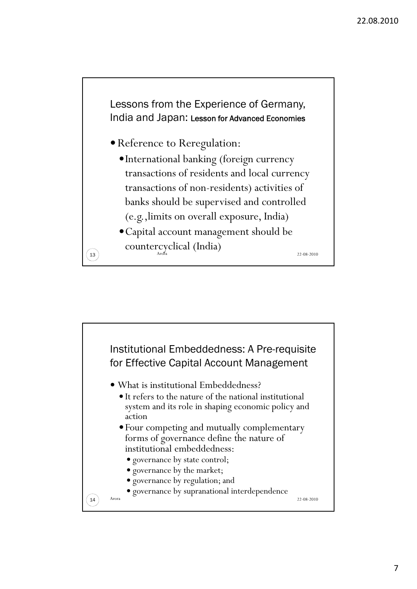

- Reference to Reregulation:
	- International banking (foreign currency transactions of residents and local currency transactions of non-residents) activities of banks should be supervised and controlled (e.g.,limits on overall exposure, India)
- Capital account management should be  $\widehat{\mathcal{L}}$  countercyclical (India)

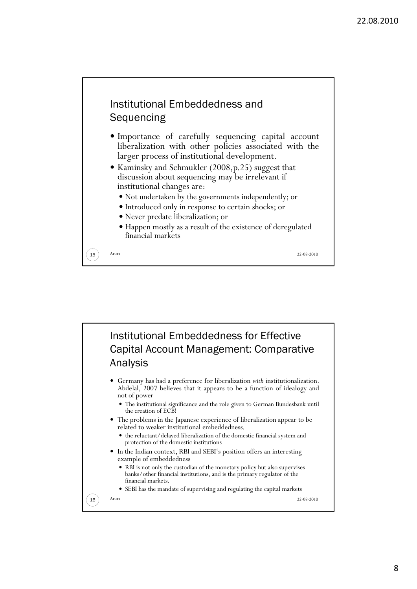## Institutional Embeddedness and **Sequencing**

- $\bullet$  Importance of carefully sequencing capital account liberalization with other policies associated with the larger process of institutional development.
- Kaminsky and Schmukler (2008, p. 25) suggest that discussion about sequencing may be irrelevant if institutional changes are:
	- Not undertaken by the governments independently; or
	- Introduced only in response to certain shocks; or
	- Never predate liberalization; or
	- Happen mostly as a result of the existence of deregulated financial markets

15 Arora 22-08-2010

Institutional Embeddedness for Effective Capital Account Management: Comparative Analysis Germany has had a preference for liberalization *with* institutionalization. Abdelal, 2007 believes that it appears to be a function of idealogy and not of power The institutional significance and the role given to German Bundesbank until the creation of ECB! The problems in the Japanese experience of liberalization appear to be related to weaker institutional embeddedness. the reluctant/delayed liberalization of the domestic financial system and protection of the domestic institutions • In the Indian context, RBI and SEBI's position offers an interesting example of embeddedness RBI is not only the custodian of the monetary policy but also supervises banks/other financial institutions, and is the primary regulator of the financial markets. SEBI has the mandate of supervising and regulating the capital markets **16**  $\big)$  Arora 22-08-2010

## 8